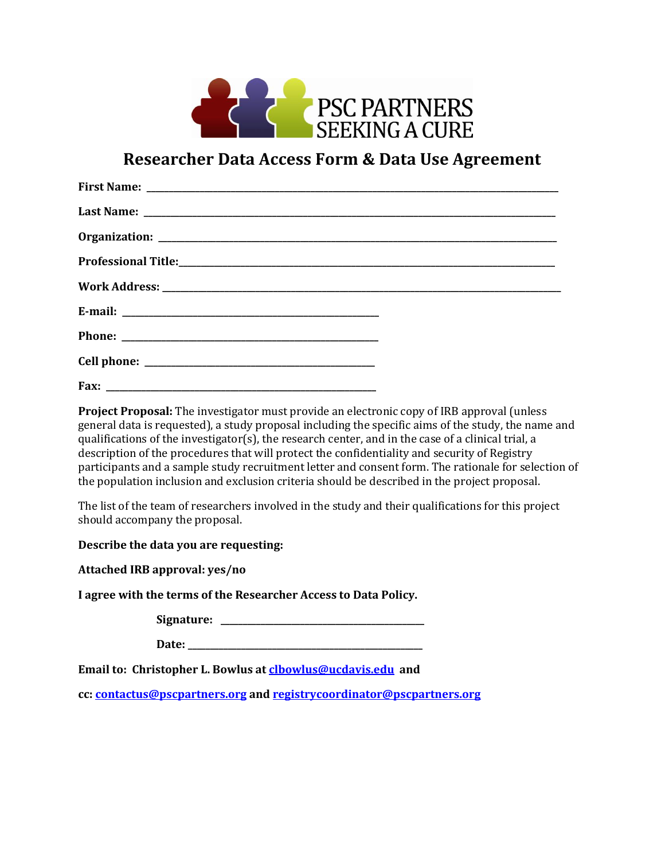

## **Researcher Data Access Form & Data Use Agreement**

**Project Proposal:** The investigator must provide an electronic copy of IRB approval (unless general data is requested), a study proposal including the specific aims of the study, the name and qualifications of the investigator(s), the research center, and in the case of a clinical trial, a description of the procedures that will protect the confidentiality and security of Registry participants and a sample study recruitment letter and consent form. The rationale for selection of the population inclusion and exclusion criteria should be described in the project proposal.

The list of the team of researchers involved in the study and their qualifications for this project should accompany the proposal.

**Describe the data you are requesting:**

**Attached IRB approval: yes/no**

**I agree with the terms of the Researcher Access to Data Policy.**

**Signature: \_\_\_\_\_\_\_\_\_\_\_\_\_\_\_\_\_\_\_\_\_\_\_\_\_\_\_\_\_\_\_\_\_\_\_\_\_\_\_\_\_\_\_\_\_\_**

**Date: \_\_\_\_\_\_\_\_\_\_\_\_\_\_\_\_\_\_\_\_\_\_\_\_\_\_\_\_\_\_\_\_\_\_\_\_\_\_\_\_\_\_\_\_\_\_\_\_\_\_\_\_\_**

**Email to: Christopher L. Bowlus a[t clbowlus@ucdavis.edu](mailto:clbowlus@ucdavis.edu) and**

**cc: [contactus@pscpartners.org](mailto:contactus@pscpartners.org) and [registrycoordinator@pscpartners.org](mailto:registrycoordinator@pscpartners.org)**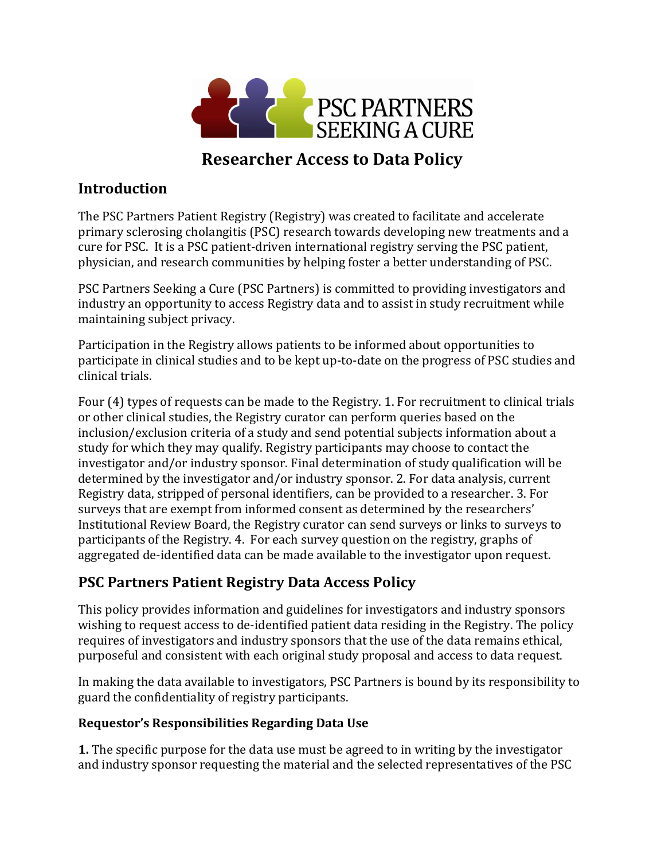

# **Researcher Access to Data Policy**

### **Introduction**

The PSC Partners Patient Registry (Registry) was created to facilitate and accelerate primary sclerosing cholangitis (PSC) research towards developing new treatments and a cure for PSC. It is a PSC patient-driven international registry serving the PSC patient, physician, and research communities by helping foster a better understanding of PSC.

PSC Partners Seeking a Cure (PSC Partners) is committed to providing investigators and industry an opportunity to access Registry data and to assist in study recruitment while maintaining subject privacy.

Participation in the Registry allows patients to be informed about opportunities to participate in clinical studies and to be kept up-to-date on the progress of PSC studies and clinical trials.

Four (4) types of requests can be made to the Registry. 1. For recruitment to clinical trials or other clinical studies, the Registry curator can perform queries based on the inclusion/exclusion criteria of a study and send potential subjects information about a study for which they may qualify. Registry participants may choose to contact the investigator and/or industry sponsor. Final determination of study qualification will be determined by the investigator and/or industry sponsor. 2. For data analysis, current Registry data, stripped of personal identifiers, can be provided to a researcher. 3. For surveys that are exempt from informed consent as determined by the researchers' Institutional Review Board, the Registry curator can send surveys or links to surveys to participants of the Registry. 4. For each survey question on the registry, graphs of aggregated de-identified data can be made available to the investigator upon request.

### **PSC Partners Patient Registry Data Access Policy**

This policy provides information and guidelines for investigators and industry sponsors wishing to request access to de-identified patient data residing in the Registry. The policy requires of investigators and industry sponsors that the use of the data remains ethical, purposeful and consistent with each original study proposal and access to data request.

In making the data available to investigators, PSC Partners is bound by its responsibility to guard the confidentiality of registry participants.

#### **Requestor's Responsibilities Regarding Data Use**

**1.** The specific purpose for the data use must be agreed to in writing by the investigator and industry sponsor requesting the material and the selected representatives of the PSC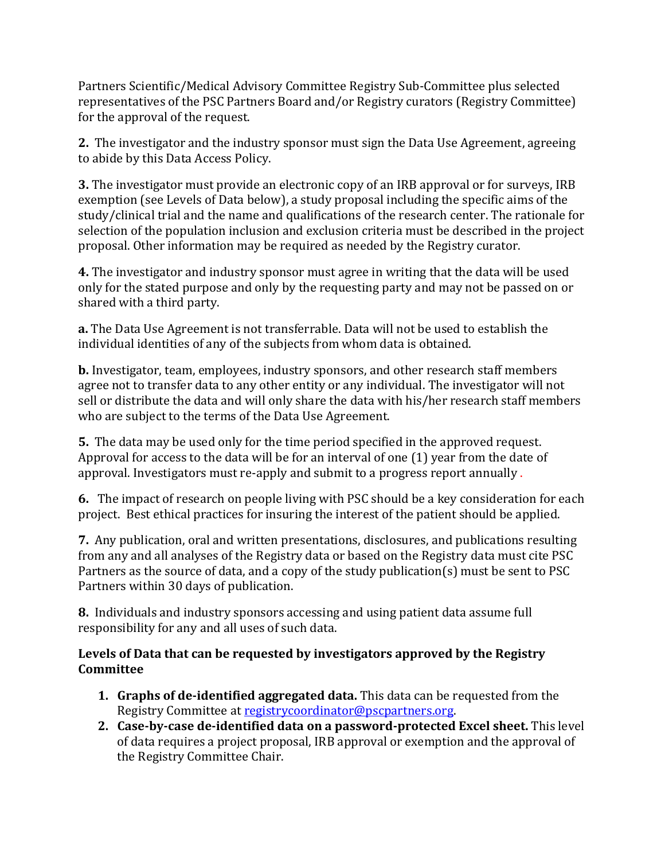Partners Scientific/Medical Advisory Committee Registry Sub-Committee plus selected representatives of the PSC Partners Board and/or Registry curators (Registry Committee) for the approval of the request.

**2.** The investigator and the industry sponsor must sign the Data Use Agreement, agreeing to abide by this Data Access Policy.

**3.** The investigator must provide an electronic copy of an IRB approval or for surveys, IRB exemption (see Levels of Data below), a study proposal including the specific aims of the study/clinical trial and the name and qualifications of the research center. The rationale for selection of the population inclusion and exclusion criteria must be described in the project proposal. Other information may be required as needed by the Registry curator.

**4.** The investigator and industry sponsor must agree in writing that the data will be used only for the stated purpose and only by the requesting party and may not be passed on or shared with a third party.

**a.** The Data Use Agreement is not transferrable. Data will not be used to establish the individual identities of any of the subjects from whom data is obtained.

**b.** Investigator, team, employees, industry sponsors, and other research staff members agree not to transfer data to any other entity or any individual. The investigator will not sell or distribute the data and will only share the data with his/her research staff members who are subject to the terms of the Data Use Agreement.

**5.** The data may be used only for the time period specified in the approved request. Approval for access to the data will be for an interval of one (1) year from the date of approval. Investigators must re-apply and submit to a progress report annually .

**6.** The impact of research on people living with PSC should be a key consideration for each project. Best ethical practices for insuring the interest of the patient should be applied.

**7.** Any publication, oral and written presentations, disclosures, and publications resulting from any and all analyses of the Registry data or based on the Registry data must cite PSC Partners as the source of data, and a copy of the study publication(s) must be sent to PSC Partners within 30 days of publication.

**8.** Individuals and industry sponsors accessing and using patient data assume full responsibility for any and all uses of such data.

#### **Levels of Data that can be requested by investigators approved by the Registry Committee**

- **1. Graphs of de-identified aggregated data.** This data can be requested from the Registry Committee at [registrycoordinator@pscpartners.org.](mailto:registrycoordinator@pscpartners.org)
- **2. Case-by-case de-identified data on a password-protected Excel sheet.** This level of data requires a project proposal, IRB approval or exemption and the approval of the Registry Committee Chair.